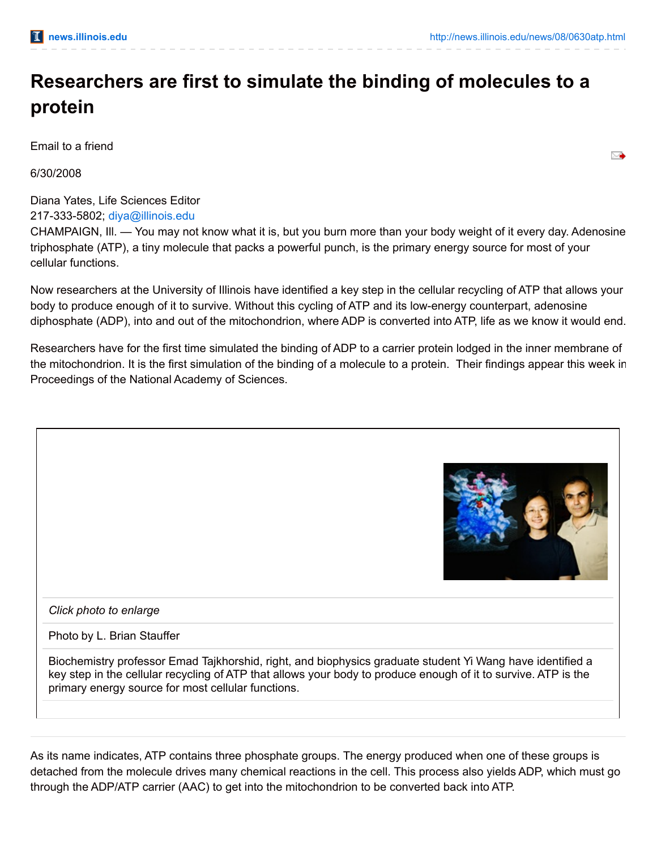## **Researchers are first to simulate the binding of molecules to a protein**

Email to a friend

6/30/2008

Diana Yates, Life Sciences Editor

217-333-5802; [diya@illinois.edu](mailto:diya@illinois.edu)

CHAMPAIGN, Ill. — You may not know what it is, but you burn more than your body weight of it every day. Adenosine triphosphate (ATP), a tiny molecule that packs a powerful punch, is the primary energy source for most of your cellular functions.

Now researchers at the University of Illinois have identified a key step in the cellular recycling of ATP that allows your body to produce enough of it to survive. Without this cycling of ATP and its low-energy counterpart, adenosine diphosphate (ADP), into and out of the mitochondrion, where ADP is converted into ATP, life as we know it would end.

Researchers have for the first time simulated the binding of ADP to a carrier protein lodged in the inner membrane of the mitochondrion. It is the first simulation of the binding of a molecule to a protein. Their findings appear this week in Proceedings of the National Academy of Sciences.

| Click photo to enlarge                                                                                    |  |  |
|-----------------------------------------------------------------------------------------------------------|--|--|
| Photo by L. Brian Stauffer                                                                                |  |  |
| Biochemistry professor Emad Tajkhorshid, right, and biophysics graduate student Yi Wang have identified a |  |  |

As its name indicates, ATP contains three phosphate groups. The energy produced when one of these groups is detached from the molecule drives many chemical reactions in the cell. This process also yields ADP, which must go through the ADP/ATP carrier (AAC) to get into the mitochondrion to be converted back into ATP.

key step in the cellular recycling of ATP that allows your body to produce enough of it to survive. ATP is the

primary energy source for most cellular functions.

➣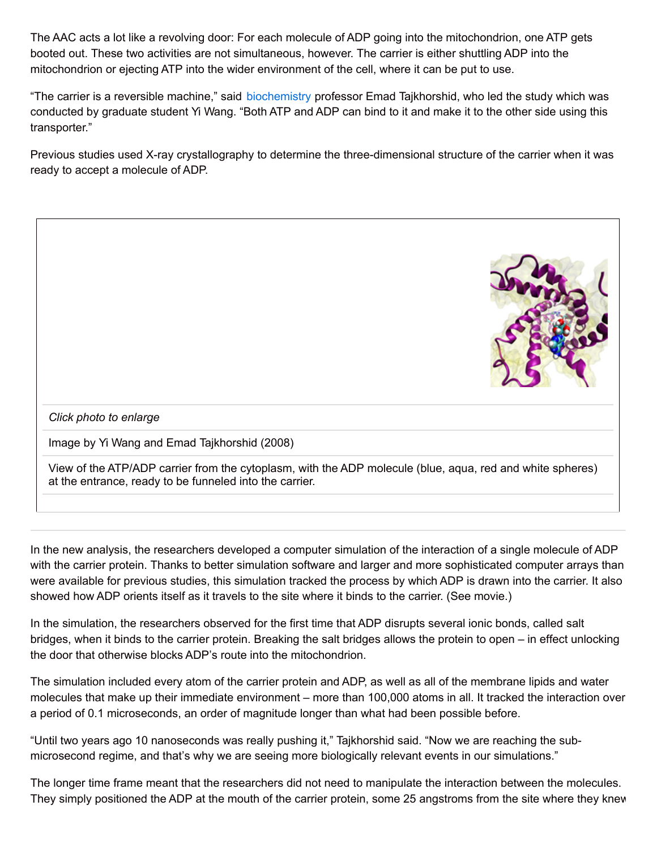The AAC acts a lot like a revolving door: For each molecule of ADP going into the mitochondrion, one ATP gets booted out. These two activities are not simultaneous, however. The carrier is either shuttling ADP into the mitochondrion or ejecting ATP into the wider environment of the cell, where it can be put to use.

"The carrier is a reversible machine," said [biochemistry](http://www.mcb.uiuc.edu/departments/biochemistry/index.html) professor Emad Tajkhorshid, who led the study which was conducted by graduate student Yi Wang. "Both ATP and ADP can bind to it and make it to the other side using this transporter."

Previous studies used X-ray crystallography to determine the three-dimensional structure of the carrier when it was ready to accept a molecule of ADP.



In the new analysis, the researchers developed a computer simulation of the interaction of a single molecule of ADP with the carrier protein. Thanks to better simulation software and larger and more sophisticated computer arrays than were available for previous studies, this simulation tracked the process by which ADP is drawn into the carrier. It also showed how ADP orients itself as it travels to the site where it binds to the carrier. (See movie.)

In the simulation, the researchers observed for the first time that ADP disrupts several ionic bonds, called salt bridges, when it binds to the carrier protein. Breaking the salt bridges allows the protein to open – in effect unlocking the door that otherwise blocks ADP's route into the mitochondrion.

The simulation included every atom of the carrier protein and ADP, as well as all of the membrane lipids and water molecules that make up their immediate environment – more than 100,000 atoms in all. It tracked the interaction over a period of 0.1 microseconds, an order of magnitude longer than what had been possible before.

"Until two years ago 10 nanoseconds was really pushing it," Tajkhorshid said. "Now we are reaching the submicrosecond regime, and that's why we are seeing more biologically relevant events in our simulations."

The longer time frame meant that the researchers did not need to manipulate the interaction between the molecules. They simply positioned the ADP at the mouth of the carrier protein, some 25 angstroms from the site where they knew